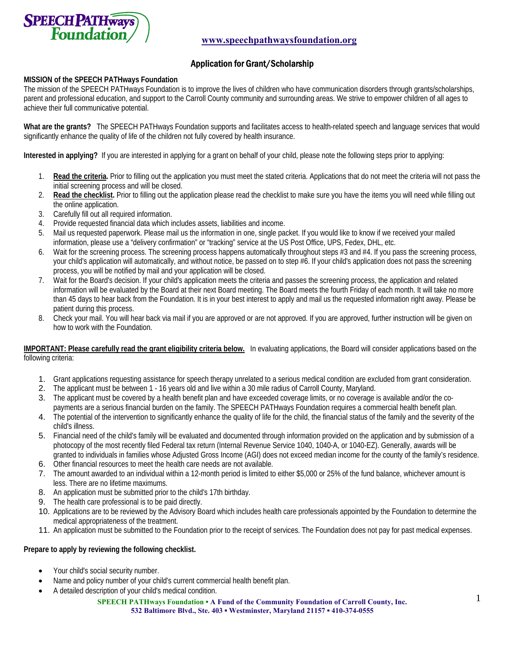

# Application for Grant/Scholarship

### **MISSION of the SPEECH PATHways Foundation**

The mission of the SPEECH PATHways Foundation is to improve the lives of children who have communication disorders through grants/scholarships, parent and professional education, and support to the Carroll County community and surrounding areas. We strive to empower children of all ages to achieve their full communicative potential.

**What are the grants?** The SPEECH PATHways Foundation supports and facilitates access to health-related speech and language services that would significantly enhance the quality of life of the children not fully covered by health insurance.

**Interested in applying?** If you are interested in applying for a grant on behalf of your child, please note the following steps prior to applying:

- 1. **Read the criteria.** Prior to filling out the application you must meet the stated criteria. Applications that do not meet the criteria will not pass the initial screening process and will be closed.
- 2. **Read the checklist.** Prior to filling out the application please read the checklist to make sure you have the items you will need while filling out the online application.
- 3. Carefully fill out all required information.
- 4. Provide requested financial data which includes assets, liabilities and income.
- 5. Mail us requested paperwork. Please mail us the information in one, single packet. If you would like to know if we received your mailed information, please use a "delivery confirmation" or "tracking" service at the US Post Office, UPS, Fedex, DHL, etc.
- 6. Wait for the screening process. The screening process happens automatically throughout steps #3 and #4. If you pass the screening process, your child's application will automatically, and without notice, be passed on to step #6. If your child's application does not pass the screening process, you will be notified by mail and your application will be closed.
- 7. Wait for the Board's decision. If your child's application meets the criteria and passes the screening process, the application and related information will be evaluated by the Board at their next Board meeting. The Board meets the fourth Friday of each month. It will take no more than 45 days to hear back from the Foundation. It is in your best interest to apply and mail us the requested information right away. Please be patient during this process.
- 8. Check your mail. You will hear back via mail if you are approved or are not approved. If you are approved, further instruction will be given on how to work with the Foundation.

**IMPORTANT: Please carefully read the grant eligibility criteria below.** In evaluating applications, the Board will consider applications based on the following criteria:

- 1. Grant applications requesting assistance for speech therapy unrelated to a serious medical condition are excluded from grant consideration.
- 2. The applicant must be between 1 16 years old and live within a 30 mile radius of Carroll County, Maryland.
- 3. The applicant must be covered by a health benefit plan and have exceeded coverage limits, or no coverage is available and/or the copayments are a serious financial burden on the family. The SPEECH PATHways Foundation requires a commercial health benefit plan.
- 4. The potential of the intervention to significantly enhance the quality of life for the child, the financial status of the family and the severity of the child's illness.
- 5. Financial need of the child's family will be evaluated and documented through information provided on the application and by submission of a photocopy of the most recently filed Federal tax return (Internal Revenue Service 1040, 1040-A, or 1040-EZ). Generally, awards will be granted to individuals in families whose Adjusted Gross Income (AGI) does not exceed median income for the county of the family's residence.
- 6. Other financial resources to meet the health care needs are not available.
- 7. The amount awarded to an individual within a 12-month period is limited to either \$5,000 or 25% of the fund balance, whichever amount is less. There are no lifetime maximums.
- 8. An application must be submitted prior to the child's 17th birthday.
- 9. The health care professional is to be paid directly.
- 10. Applications are to be reviewed by the Advisory Board which includes health care professionals appointed by the Foundation to determine the medical appropriateness of the treatment.
- 11. An application must be submitted to the Foundation prior to the receipt of services. The Foundation does not pay for past medical expenses.

#### **Prepare to apply by reviewing the following checklist.**

- Your child's social security number.
- Name and policy number of your child's current commercial health benefit plan.
- A detailed description of your child's medical condition.

**SPEECH PATHways Foundation ▪ A Fund of the Community Foundation of Carroll County, Inc. 532 Baltimore Blvd., Ste. 403 ▪ Westminster, Maryland 21157 ▪ 410-374-0555**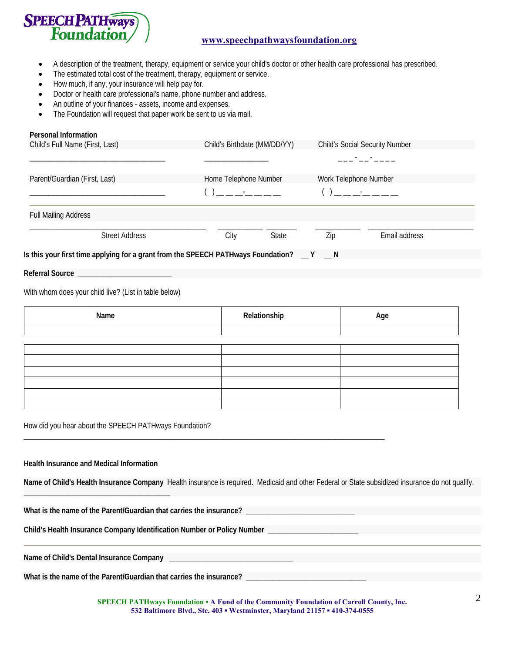

## **www.speechpathwaysfoundation.org**

- A description of the treatment, therapy, equipment or service your child's doctor or other health care professional has prescribed.
- The estimated total cost of the treatment, therapy, equipment or service.
- How much, if any, your insurance will help pay for.
- Doctor or health care professional's name, phone number and address.
- An outline of your finances assets, income and expenses.
- The Foundation will request that paper work be sent to us via mail.

| <b>Personal Information</b>     |                                                                                                                                                                                                                                                                                                                                                                                      |                                 |
|---------------------------------|--------------------------------------------------------------------------------------------------------------------------------------------------------------------------------------------------------------------------------------------------------------------------------------------------------------------------------------------------------------------------------------|---------------------------------|
| Child's Full Name (First, Last) | Child's Birthdate (MM/DD/YY)                                                                                                                                                                                                                                                                                                                                                         | Child's Social Security Number  |
|                                 |                                                                                                                                                                                                                                                                                                                                                                                      | بالمستحق والمستحق والمستنب      |
| Parent/Guardian (First, Last)   | Home Telephone Number                                                                                                                                                                                                                                                                                                                                                                | Work Telephone Number           |
|                                 | $\overline{a}$ $\overline{a}$ $\overline{a}$ $\overline{a}$ $\overline{a}$ $\overline{a}$ $\overline{a}$ $\overline{a}$ $\overline{a}$ $\overline{a}$ $\overline{a}$ $\overline{a}$ $\overline{a}$ $\overline{a}$ $\overline{a}$ $\overline{a}$ $\overline{a}$ $\overline{a}$ $\overline{a}$ $\overline{a}$ $\overline{a}$ $\overline{a}$ $\overline{a}$ $\overline{a}$ $\overline{$ | 1 __ __ _ _ _ _ _ _ _ _ _ _ _ _ |
| <b>Full Mailing Address</b>     |                                                                                                                                                                                                                                                                                                                                                                                      |                                 |

| Street Address                                                                    | Citv | State | Email address |  |
|-----------------------------------------------------------------------------------|------|-------|---------------|--|
| Is this your first time applying for a grant from the SPEECH PATHways Foundation? |      |       |               |  |

**Referral Source \_\_\_\_\_\_\_\_\_\_\_\_\_\_\_\_\_\_\_\_\_\_\_\_\_**

With whom does your child live? (List in table below)

| Name | Relationship | Age |
|------|--------------|-----|
|      |              |     |
|      |              |     |
|      |              |     |
|      |              |     |
|      |              |     |
|      |              |     |
|      |              |     |
|      |              |     |

\_\_\_\_\_\_\_\_\_\_\_\_\_\_\_\_\_\_\_\_\_\_\_\_\_\_\_\_\_\_\_\_\_\_\_\_\_\_\_\_\_\_\_\_\_\_\_\_\_\_\_\_\_\_\_\_\_\_\_\_\_\_\_\_\_\_\_\_\_\_\_\_\_\_\_\_\_\_\_\_\_\_\_\_\_\_\_\_\_\_\_\_\_\_\_\_

How did you hear about the SPEECH PATHways Foundation?

**Health Insurance and Medical Information**

\_\_\_\_\_\_\_\_\_\_\_\_\_\_\_\_\_\_\_\_\_\_\_\_\_\_\_\_\_\_\_\_\_\_\_\_\_\_\_

**Name of Child's Health Insurance Company** Health insurance is required. Medicaid and other Federal or State subsidized insurance do not qualify.

**What is the name of the Parent/Guardian that carries the insurance? \_\_\_\_\_\_\_\_\_\_\_\_\_\_\_\_\_\_\_\_\_\_\_\_\_\_\_\_\_**

**Child's Health Insurance Company Identification Number or Policy Number \_\_\_\_\_\_\_\_\_\_\_\_\_\_\_\_\_\_\_\_\_\_\_\_**

Name of Child's Dental Insurance Company **Lateral Accords** 

**What is the name of the Parent/Guardian that carries the insurance? \_\_\_\_\_\_\_\_\_\_\_\_\_\_\_\_\_\_\_\_\_\_\_\_\_\_\_\_\_\_\_\_**

**SPEECH PATHways Foundation ▪ A Fund of the Community Foundation of Carroll County, Inc. 532 Baltimore Blvd., Ste. 403 ▪ Westminster, Maryland 21157 ▪ 410-374-0555**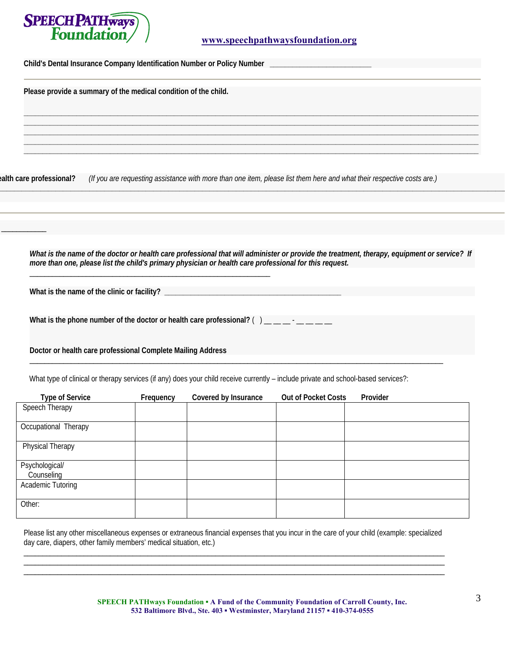

**Child's Dental Insurance Company Identification Number or Policy Number \_\_\_\_\_\_\_\_\_\_\_\_\_\_\_\_\_\_\_\_\_\_\_\_\_\_\_**

**Please provide a summary of the medical condition of the child.** 

**ealth care professional?** *(If you are requesting assistance with more than one item, please list them here and what their respective costs are.)*

*What is the name of the doctor or health care professional that will administer or provide the treatment, therapy, equipment or service? If more than one, please list the child's primary physician or health care professional for this request.* 

**\_\_\_\_\_\_\_\_\_\_\_\_\_\_\_\_\_\_\_\_\_\_\_\_\_\_\_\_\_\_\_\_\_\_\_\_\_\_\_\_\_\_\_\_\_\_\_\_\_\_\_\_\_\_\_\_\_\_\_\_\_\_\_\_\_\_\_\_\_\_\_\_\_\_\_\_\_\_\_\_\_\_\_\_\_\_\_\_\_\_\_\_\_\_\_\_\_\_\_\_\_\_\_\_\_\_\_\_\_\_\_\_\_\_\_\_\_\_\_\_\_\_\_\_\_\_\_\_\_\_\_\_\_\_\_**

**\_\_\_\_\_\_\_\_\_\_\_\_\_\_\_\_\_\_\_\_\_\_\_\_\_\_\_\_\_\_\_\_\_\_\_\_\_\_\_\_\_\_\_\_\_\_\_\_\_\_\_\_\_\_\_\_\_\_\_\_\_\_\_\_\_\_\_\_\_\_\_\_\_\_\_\_\_\_\_\_\_\_\_\_\_\_\_\_\_\_\_\_\_\_\_\_\_\_\_\_\_\_\_\_\_\_\_\_\_\_\_\_\_\_\_\_\_\_\_\_\_ \_\_\_\_\_\_\_\_\_\_\_\_\_\_\_\_\_\_\_\_\_\_\_\_\_\_\_\_\_\_\_\_\_\_\_\_\_\_\_\_\_\_\_\_\_\_\_\_\_\_\_\_\_\_\_\_\_\_\_\_\_\_\_\_\_\_\_\_\_\_\_\_\_\_\_\_\_\_\_\_\_\_\_\_\_\_\_\_\_\_\_\_\_\_\_\_\_\_\_\_\_\_\_\_\_\_\_\_\_\_\_\_\_\_\_\_\_\_\_\_\_ \_\_\_\_\_\_\_\_\_\_\_\_\_\_\_\_\_\_\_\_\_\_\_\_\_\_\_\_\_\_\_\_\_\_\_\_\_\_\_\_\_\_\_\_\_\_\_\_\_\_\_\_\_\_\_\_\_\_\_\_\_\_\_\_\_\_\_\_\_\_\_\_\_\_\_\_\_\_\_\_\_\_\_\_\_\_\_\_\_\_\_\_\_\_\_\_\_\_\_\_\_\_\_\_\_\_\_\_\_\_\_\_\_\_\_\_\_\_\_\_\_ \_\_\_\_\_\_\_\_\_\_\_\_\_\_\_\_\_\_\_\_\_\_\_\_\_\_\_\_\_\_\_\_\_\_\_\_\_\_\_\_\_\_\_\_\_\_\_\_\_\_\_\_\_\_\_\_\_\_\_\_\_\_\_\_\_\_\_\_\_\_\_\_\_\_\_\_\_\_\_\_\_\_\_\_\_\_\_\_\_\_\_\_\_\_\_\_\_\_\_\_\_\_\_\_\_\_\_\_\_\_\_\_\_\_\_\_\_\_\_\_\_ \_\_\_\_\_\_\_\_\_\_\_\_\_\_\_\_\_\_\_\_\_\_\_\_\_\_\_\_\_\_\_\_\_\_\_\_\_\_\_\_\_\_\_\_\_\_\_\_\_\_\_\_\_\_\_\_\_\_\_\_\_\_\_\_\_\_\_\_\_\_\_\_\_\_\_\_\_\_\_\_\_\_\_\_\_\_\_\_\_\_\_\_\_\_\_\_\_\_\_\_\_\_\_\_\_\_\_\_\_\_\_\_\_\_\_\_\_\_\_\_\_**

**What is the name of the clinic or facility? \_\_\_\_\_\_\_\_\_\_\_\_\_\_\_\_\_\_\_\_\_\_\_\_\_\_\_\_\_\_\_\_\_\_\_\_\_\_\_\_\_\_\_\_\_\_\_**

 $\overline{\phantom{a}}$   $\overline{\phantom{a}}$   $\overline{\phantom{a}}$   $\overline{\phantom{a}}$   $\overline{\phantom{a}}$   $\overline{\phantom{a}}$   $\overline{\phantom{a}}$   $\overline{\phantom{a}}$   $\overline{\phantom{a}}$   $\overline{\phantom{a}}$   $\overline{\phantom{a}}$   $\overline{\phantom{a}}$   $\overline{\phantom{a}}$   $\overline{\phantom{a}}$   $\overline{\phantom{a}}$   $\overline{\phantom{a}}$   $\overline{\phantom{a}}$   $\overline{\phantom{a}}$   $\overline{\$ 

What is the phone number of the doctor or health care professional? () \_\_\_\_\_-\_\_\_

\_\_\_\_\_\_\_\_\_\_\_\_\_\_\_\_\_\_\_\_\_\_\_\_\_\_\_\_\_\_\_\_\_\_\_\_\_\_\_\_\_\_\_\_\_\_\_\_\_\_\_\_\_\_\_\_\_\_\_\_\_\_\_\_

**Doctor or health care professional Complete Mailing Address** 

What type of clinical or therapy services (if any) does your child receive currently – include private and school-based services?:

\_\_\_\_\_\_\_\_\_\_\_\_\_\_\_\_\_\_\_\_\_\_\_\_\_\_\_\_\_\_\_\_\_\_\_\_\_\_\_\_\_\_\_\_\_\_\_\_\_\_\_\_\_\_\_\_\_\_\_\_\_\_\_\_\_\_\_\_\_\_\_\_\_\_\_\_\_\_\_\_\_\_\_\_\_\_\_\_\_\_\_\_\_\_\_\_\_\_\_\_\_\_\_\_\_\_\_\_\_\_

| <b>Type of Service</b> | Frequency | Covered by Insurance | <b>Out of Pocket Costs</b> | Provider |
|------------------------|-----------|----------------------|----------------------------|----------|
| Speech Therapy         |           |                      |                            |          |
|                        |           |                      |                            |          |
| Occupational Therapy   |           |                      |                            |          |
|                        |           |                      |                            |          |
| Physical Therapy       |           |                      |                            |          |
|                        |           |                      |                            |          |
| Psychological/         |           |                      |                            |          |
| Counseling             |           |                      |                            |          |
| Academic Tutoring      |           |                      |                            |          |
|                        |           |                      |                            |          |
| Other:                 |           |                      |                            |          |
|                        |           |                      |                            |          |

Please list any other miscellaneous expenses or extraneous financial expenses that you incur in the care of your child (example: specialized day care, diapers, other family members' medical situation, etc.) \_\_\_\_\_\_\_\_\_\_\_\_\_\_\_\_\_\_\_\_\_\_\_\_\_\_\_\_\_\_\_\_\_\_\_\_\_\_\_\_\_\_\_\_\_\_\_\_\_\_\_\_\_\_\_\_\_\_\_\_\_\_\_\_\_\_\_\_\_\_\_\_\_\_\_\_\_\_\_\_\_\_\_\_\_\_\_\_\_\_\_\_\_\_\_\_\_\_\_\_\_\_\_\_\_\_\_\_\_\_\_\_

\_\_\_\_\_\_\_\_\_\_\_\_\_\_\_\_\_\_\_\_\_\_\_\_\_\_\_\_\_\_\_\_\_\_\_\_\_\_\_\_\_\_\_\_\_\_\_\_\_\_\_\_\_\_\_\_\_\_\_\_\_\_\_\_\_\_\_\_\_\_\_\_\_\_\_\_\_\_\_\_\_\_\_\_\_\_\_\_\_\_\_\_\_\_\_\_\_\_\_\_\_\_\_\_\_\_\_\_\_\_\_\_ \_\_\_\_\_\_\_\_\_\_\_\_\_\_\_\_\_\_\_\_\_\_\_\_\_\_\_\_\_\_\_\_\_\_\_\_\_\_\_\_\_\_\_\_\_\_\_\_\_\_\_\_\_\_\_\_\_\_\_\_\_\_\_\_\_\_\_\_\_\_\_\_\_\_\_\_\_\_\_\_\_\_\_\_\_\_\_\_\_\_\_\_\_\_\_\_\_\_\_\_\_\_\_\_\_\_\_\_\_\_\_\_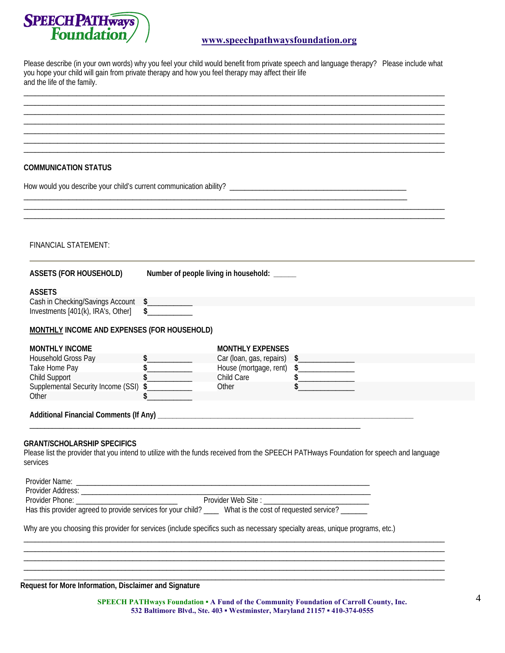

## **www.speechpathwaysfoundation.org**

Please describe (in your own words) why you feel your child would benefit from private speech and language therapy? Please include what you hope your child will gain from private therapy and how you feel therapy may affect their life and the life of the family.

\_\_\_\_\_\_\_\_\_\_\_\_\_\_\_\_\_\_\_\_\_\_\_\_\_\_\_\_\_\_\_\_\_\_\_\_\_\_\_\_\_\_\_\_\_\_\_\_\_\_\_\_\_\_\_\_\_\_\_\_\_\_\_\_\_\_\_\_\_\_\_\_\_\_\_\_\_\_\_\_\_\_\_\_\_\_\_\_\_\_\_\_\_\_\_\_\_\_\_\_\_\_\_\_\_\_\_\_\_\_\_\_ \_\_\_\_\_\_\_\_\_\_\_\_\_\_\_\_\_\_\_\_\_\_\_\_\_\_\_\_\_\_\_\_\_\_\_\_\_\_\_\_\_\_\_\_\_\_\_\_\_\_\_\_\_\_\_\_\_\_\_\_\_\_\_\_\_\_\_\_\_\_\_\_\_\_\_\_\_\_\_\_\_\_\_\_\_\_\_\_\_\_\_\_\_\_\_\_\_\_\_\_\_\_\_\_\_\_\_\_\_\_\_\_ \_\_\_\_\_\_\_\_\_\_\_\_\_\_\_\_\_\_\_\_\_\_\_\_\_\_\_\_\_\_\_\_\_\_\_\_\_\_\_\_\_\_\_\_\_\_\_\_\_\_\_\_\_\_\_\_\_\_\_\_\_\_\_\_\_\_\_\_\_\_\_\_\_\_\_\_\_\_\_\_\_\_\_\_\_\_\_\_\_\_\_\_\_\_\_\_\_\_\_\_\_\_\_\_\_\_\_\_\_\_\_\_

\_\_\_\_\_\_\_\_\_\_\_\_\_\_\_\_\_\_\_\_\_\_\_\_\_\_\_\_\_\_\_\_\_\_\_\_\_\_\_\_\_\_\_\_\_\_\_\_\_\_\_\_\_\_\_\_\_\_\_\_\_\_\_\_\_\_\_\_\_\_\_\_\_\_\_\_\_\_\_\_\_\_\_\_\_\_\_\_\_\_\_\_\_\_\_\_\_\_\_\_\_\_\_\_\_\_\_\_\_\_\_\_ \_\_\_\_\_\_\_\_\_\_\_\_\_\_\_\_\_\_\_\_\_\_\_\_\_\_\_\_\_\_\_\_\_\_\_\_\_\_\_\_\_\_\_\_\_\_\_\_\_\_\_\_\_\_\_\_\_\_\_\_\_\_\_\_\_\_\_\_\_\_\_\_\_\_\_\_\_\_\_\_\_\_\_\_\_\_\_\_\_\_\_\_\_\_\_\_\_\_\_\_\_\_\_\_\_\_\_\_\_\_\_\_ \_\_\_\_\_\_\_\_\_\_\_\_\_\_\_\_\_\_\_\_\_\_\_\_\_\_\_\_\_\_\_\_\_\_\_\_\_\_\_\_\_\_\_\_\_\_\_\_\_\_\_\_\_\_\_\_\_\_\_\_\_\_\_\_\_\_\_\_\_\_\_\_\_\_\_\_\_\_\_\_\_\_\_\_\_\_\_\_\_\_\_\_\_\_\_\_\_\_\_\_\_\_\_\_\_\_\_\_\_\_\_\_

| COMMUNICATION STATUS |  |  |  |
|----------------------|--|--|--|
|----------------------|--|--|--|

| <b>COMMUNICATION STATUS</b>                                                                                                  |                                                                                                                                         |
|------------------------------------------------------------------------------------------------------------------------------|-----------------------------------------------------------------------------------------------------------------------------------------|
| FINANCIAL STATEMENT:                                                                                                         |                                                                                                                                         |
| <b>ASSETS (FOR HOUSEHOLD)</b>                                                                                                | Number of people living in household: _____                                                                                             |
| <b>ASSETS</b>                                                                                                                |                                                                                                                                         |
| Cash in Checking/Savings Account \$___________<br>$\sim$<br>Investments [401(k), IRA's, Other]                               |                                                                                                                                         |
| MONTHLY INCOME AND EXPENSES (FOR HOUSEHOLD)                                                                                  |                                                                                                                                         |
| <b>MONTHLY INCOME</b>                                                                                                        | <b>MONTHLY EXPENSES</b>                                                                                                                 |
| Household Gross Pay                                                                                                          | Car (loan, gas, repairs) \$                                                                                                             |
| $\frac{\sqrt{2}}{\sqrt{2}}$<br>Take Home Pay<br>Child Support                                                                | House (mortgage, rent) \$_______________<br>$\frac{1}{2}$                                                                               |
| Supplemental Security Income (SSI) \$                                                                                        | Child Care<br>Other                                                                                                                     |
| Other                                                                                                                        |                                                                                                                                         |
|                                                                                                                              |                                                                                                                                         |
| <b>GRANT/SCHOLARSHIP SPECIFICS</b><br>services                                                                               | Please list the provider that you intend to utilize with the funds received from the SPEECH PATHways Foundation for speech and language |
|                                                                                                                              |                                                                                                                                         |
|                                                                                                                              | <u> 1989 - Johann Barn, mars ann an t-Amhair an t-Amhair an t-Amhair an t-Amhair an t-Amhair an t-Amhair an t-Amh</u>                   |
|                                                                                                                              | Has this provider agreed to provide services for your child? ____ What is the cost of requested service? _____                          |
| Why are you choosing this provider for services (include specifics such as necessary specialty areas, unique programs, etc.) |                                                                                                                                         |

**Request for More Information, Disclaimer and Signature** 

**SPEECH PATHways Foundation ▪ A Fund of the Community Foundation of Carroll County, Inc. 532 Baltimore Blvd., Ste. 403 ▪ Westminster, Maryland 21157 ▪ 410-374-0555** 

\_\_\_\_\_\_\_\_\_\_\_\_\_\_\_\_\_\_\_\_\_\_\_\_\_\_\_\_\_\_\_\_\_\_\_\_\_\_\_\_\_\_\_\_\_\_\_\_\_\_\_\_\_\_\_\_\_\_\_\_\_\_\_\_\_\_\_\_\_\_\_\_\_\_\_\_\_\_\_\_\_\_\_\_\_\_\_\_\_\_\_\_\_\_\_\_\_\_\_\_\_\_\_\_\_\_\_\_\_\_\_\_ \_\_\_\_\_\_\_\_\_\_\_\_\_\_\_\_\_\_\_\_\_\_\_\_\_\_\_\_\_\_\_\_\_\_\_\_\_\_\_\_\_\_\_\_\_\_\_\_\_\_\_\_\_\_\_\_\_\_\_\_\_\_\_\_\_\_\_\_\_\_\_\_\_\_\_\_\_\_\_\_\_\_\_\_\_\_\_\_\_\_\_\_\_\_\_\_\_\_\_\_\_\_\_\_\_\_\_\_\_\_\_\_ \_\_\_\_\_\_\_\_\_\_\_\_\_\_\_\_\_\_\_\_\_\_\_\_\_\_\_\_\_\_\_\_\_\_\_\_\_\_\_\_\_\_\_\_\_\_\_\_\_\_\_\_\_\_\_\_\_\_\_\_\_\_\_\_\_\_\_\_\_\_\_\_\_\_\_\_\_\_\_\_\_\_\_\_\_\_\_\_\_\_\_\_\_\_\_\_\_\_\_\_\_\_\_\_\_\_\_\_\_\_\_\_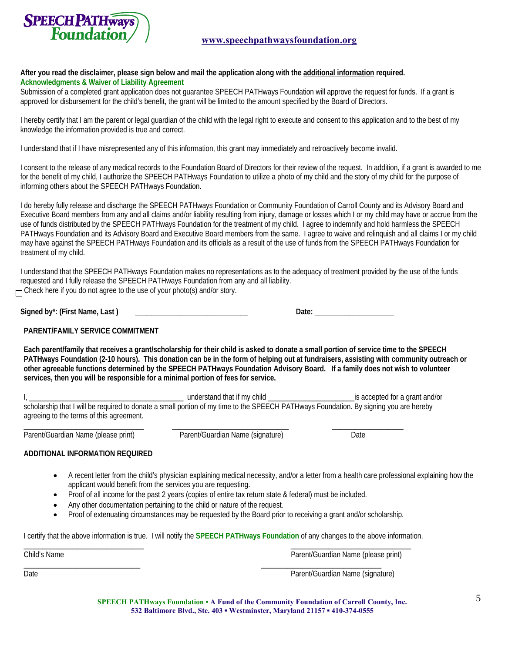

### **After you read the disclaimer, please sign below and mail the application along with the additional information required. Acknowledgments & Waiver of Liability Agreement**

Submission of a completed grant application does not guarantee SPEECH PATHways Foundation will approve the request for funds. If a grant is approved for disbursement for the child's benefit, the grant will be limited to the amount specified by the Board of Directors.

I hereby certify that I am the parent or legal guardian of the child with the legal right to execute and consent to this application and to the best of my knowledge the information provided is true and correct.

I understand that if I have misrepresented any of this information, this grant may immediately and retroactively become invalid.

I consent to the release of any medical records to the Foundation Board of Directors for their review of the request. In addition, if a grant is awarded to me for the benefit of my child, I authorize the SPEECH PATHways Foundation to utilize a photo of my child and the story of my child for the purpose of informing others about the SPEECH PATHways Foundation.

I do hereby fully release and discharge the SPEECH PATHways Foundation or Community Foundation of Carroll County and its Advisory Board and Executive Board members from any and all claims and/or liability resulting from injury, damage or losses which I or my child may have or accrue from the use of funds distributed by the SPEECH PATHways Foundation for the treatment of my child. I agree to indemnify and hold harmless the SPEECH PATHways Foundation and its Advisory Board and Executive Board members from the same. I agree to waive and relinquish and all claims I or my child may have against the SPEECH PATHways Foundation and its officials as a result of the use of funds from the SPEECH PATHways Foundation for treatment of my child.

I understand that the SPEECH PATHways Foundation makes no representations as to the adequacy of treatment provided by the use of the funds requested and I fully release the SPEECH PATHways Foundation from any and all liability.  $\Box$  Check here if you do not agree to the use of your photo(s) and/or story.

| Signed by*: (First Name,<br>Last |  |
|----------------------------------|--|
|                                  |  |

| Date: |  |
|-------|--|
|-------|--|

#### **PARENT/FAMILY SERVICE COMMITMENT**

**Each parent/family that receives a grant/scholarship for their child is asked to donate a small portion of service time to the SPEECH PATHways Foundation (2-10 hours). This donation can be in the form of helping out at fundraisers, assisting with community outreach or other agreeable functions determined by the SPEECH PATHways Foundation Advisory Board. If a family does not wish to volunteer services, then you will be responsible for a minimal portion of fees for service.** 

I, \_\_\_\_\_\_\_\_\_\_\_\_\_\_\_\_\_\_\_\_\_\_\_\_\_\_\_\_\_\_\_\_\_\_\_\_\_\_\_\_\_ understand that if my child \_\_\_\_\_\_\_\_\_\_\_\_\_\_\_\_\_\_\_\_\_\_\_is accepted for a grant and/or scholarship that I will be required to donate a small portion of my time to the SPEECH PATHways Foundation. By signing you are hereby agreeing to the terms of this agreement.

Parent/Guardian Name (please print) Parent/Guardian Name (signature) Date

\_\_\_\_\_\_\_\_\_\_\_\_\_\_\_\_\_\_\_\_\_\_\_\_\_\_\_\_\_\_\_\_ \_\_\_\_\_\_\_\_\_\_\_\_\_\_\_\_\_\_\_\_\_\_\_\_\_\_\_\_\_\_\_ \_\_\_\_\_\_\_\_\_\_\_\_\_\_\_\_\_\_\_

## **ADDITIONAL INFORMATION REQUIRED**

- A recent letter from the child's physician explaining medical necessity, and/or a letter from a health care professional explaining how the applicant would benefit from the services you are requesting.
- Proof of all income for the past 2 years (copies of entire tax return state & federal) must be included.
- Any other documentation pertaining to the child or nature of the request.
- Proof of extenuating circumstances may be requested by the Board prior to receiving a grant and/or scholarship.

I certify that the above information is true. I will notify the **SPEECH PATHways Foundation** of any changes to the above information.

| Child's Name | Parent/Guardian Name (please print) |
|--------------|-------------------------------------|
| Date         | Parent/Guardian Name (signature)    |

**SPEECH PATHways Foundation ▪ A Fund of the Community Foundation of Carroll County, Inc. 532 Baltimore Blvd., Ste. 403 ▪ Westminster, Maryland 21157 ▪ 410-374-0555**